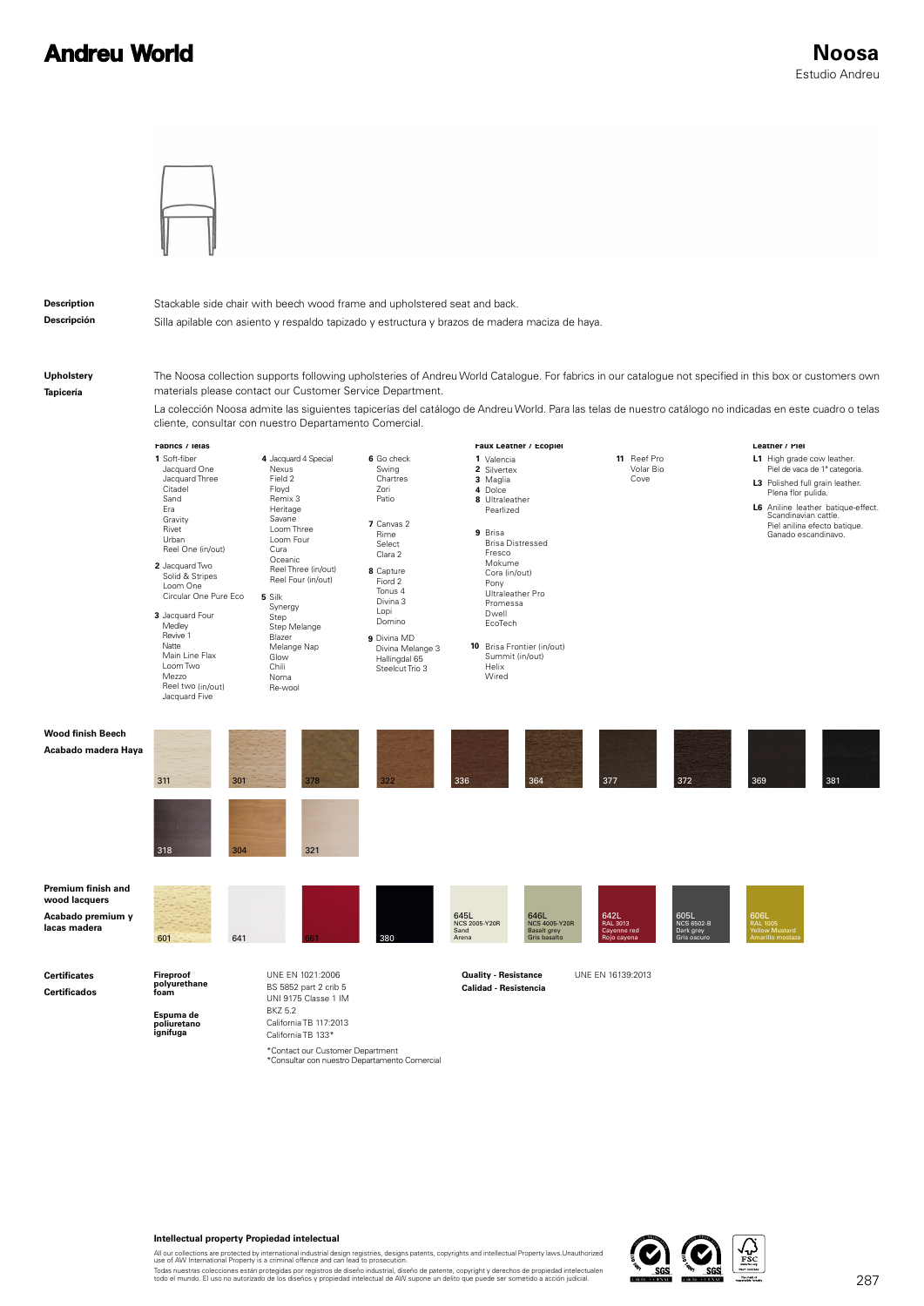## **Andreu World**



#### **Description Descripción**

Stackable side chair with beech wood frame and upholstered seat and back.

Silla apilable con asiento y respaldo tapizado y estructura y brazos de madera maciza de haya.

**Upholstery Tapicería**

**Certificates Certificados** The Noosa collection supports following upholsteries of Andreu World Catalogue. For fabrics in our catalogue not specified in this box or customers own materials please contact our Customer Service Department.

La colección Noosa admite las siguientes tapicerías del catálogo de Andreu World. Para las telas de nuestro catálogo no indicadas en este cuadro o telas cliente, consultar con nuestro Departamento Comercial.

|                                                                          | raprics / leias                                                                                                                                                                                                                                                                                                                     |                                                                                                                                                                                                                                                                                         |                                                                                                                                                                                                                                     | raux Leatner / Ecopiei                                                                                                                                                                                                                                                                    | Leatner / Piel                                                                                   |                                                                                                                                                                                                                                           |  |
|--------------------------------------------------------------------------|-------------------------------------------------------------------------------------------------------------------------------------------------------------------------------------------------------------------------------------------------------------------------------------------------------------------------------------|-----------------------------------------------------------------------------------------------------------------------------------------------------------------------------------------------------------------------------------------------------------------------------------------|-------------------------------------------------------------------------------------------------------------------------------------------------------------------------------------------------------------------------------------|-------------------------------------------------------------------------------------------------------------------------------------------------------------------------------------------------------------------------------------------------------------------------------------------|--------------------------------------------------------------------------------------------------|-------------------------------------------------------------------------------------------------------------------------------------------------------------------------------------------------------------------------------------------|--|
|                                                                          | 1 Soft-fiber<br>Jacquard One<br>Jacquard Three<br>Citadel<br>Sand<br>Era<br>Gravity<br>Rivet<br>Urban<br>Reel One (in/out)<br>2 Jacquard Two<br>Solid & Stripes<br>Loom One<br>Circular One Pure Eco<br>3 Jacquard Four<br>Medley<br>Revive 1<br>Natte<br>Main Line Flax<br>Loom Two<br>Mezzo<br>Reel two (in/out)<br>Jacquard Five | 4 Jacquard 4 Special<br>Nexus<br>Field 2<br>Floyd<br>Remix 3<br>Heritage<br>Savane<br>Loom Three<br>Loom Four<br>Cura<br>Oceanic<br>Reel Three (in/out)<br>Reel Four (in/out)<br>5 Silk<br>Synergy<br>Step<br>Step Melange<br>Blazer<br>Melange Nap<br>Glow<br>Chili<br>Noma<br>Re-wool | 6 Go check<br>Swing<br>Chartres<br>Zori<br>Patio<br>7 Canvas 2<br>Rime<br>Select<br>Clara 2<br>8 Capture<br>Fiord 2<br>Tonus 4<br>Divina 3<br>Lopi<br>Domino<br>9 Divina MD<br>Divina Melange 3<br>Hallingdal 65<br>Steelcut Trio 3 | 1 Valencia<br>2 Silvertex<br>3 Maglia<br>4 Dolce<br>8 Ultraleather<br>Pearlized<br>9 Brisa<br><b>Brisa Distressed</b><br>Fresco<br>Mokume<br>Cora (in/out)<br>Pony<br>Ultraleather Pro<br>Promessa<br>Dwell<br>EcoTech<br>10 Brisa Frontier (in/out)<br>Summit (in/out)<br>Helix<br>Wired | 11 Reef Pro<br>Volar Bio<br>Cove                                                                 | L1 High grade cow leather.<br>Piel de vaca de 1ª categoría.<br>L3 Polished full grain leather.<br>Plena flor pulida.<br>L6 Aniline leather batique-effect.<br>Scandinavian cattle.<br>Piel anilina efecto batique.<br>Ganado escandinavo. |  |
| Wood finish Beech<br>Acabado madera Haya                                 | 311<br>301<br>304<br>318                                                                                                                                                                                                                                                                                                            | 378<br>321                                                                                                                                                                                                                                                                              | 336<br>322                                                                                                                                                                                                                          | 364                                                                                                                                                                                                                                                                                       | 377<br>372                                                                                       | 369<br>381                                                                                                                                                                                                                                |  |
| Premium finish and<br>wood lacquers<br>Acabado premium y<br>lacas madera | 601<br>641                                                                                                                                                                                                                                                                                                                          |                                                                                                                                                                                                                                                                                         | 645L<br>Sand<br>380<br>Arena                                                                                                                                                                                                        | 646L<br><b>NCS 2005-Y20R</b><br><b>NCS 4005-Y20R</b><br><b>Basalt grey</b><br>Gris basalto                                                                                                                                                                                                | 642L<br>RAL 3013<br>605L<br>NCS 6502-B<br>Dark grey<br>Cayenne red<br>Rojo cayena<br>Gris oscuro | 606L<br>RAL 1005<br>Yellow Mustard<br>Amarillo mostaza                                                                                                                                                                                    |  |
| Certificates<br>Certificados                                             | Fireproof<br>polyurethane<br>foam<br>Espuma de<br>poliuretano<br>ignífuga                                                                                                                                                                                                                                                           | UNE EN 1021:2006<br>BS 5852 part 2 crib 5<br>UNI 9175 Classe 1 IM<br><b>BKZ 5.2</b><br>California TB 117:2013<br>California TB 133*<br>*Contact our Customer Department                                                                                                                 |                                                                                                                                                                                                                                     | <b>Quality - Resistance</b><br>Calidad - Resistencia                                                                                                                                                                                                                                      | UNE EN 16139:2013                                                                                |                                                                                                                                                                                                                                           |  |

#### **Intellectual property Propiedad intelectual**

All our collections are protected by international industrial design registries, designs patents, copyrights and intellectual Property laws.Unauthorized<br>Todas nuestras colleciones están protegidas por registros de diseño i

\*Consultar con nuestro Departamento Comercial